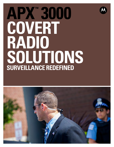# **APX™ 3000 COVERT radio SOLUTIONs SURVEILLANCE REDEFINED**

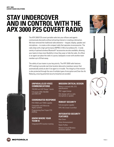# **STAY UNDERCOVER AND IN CONTROL WITH THE APX 3000 P25 COVERT RADIO**

The APX 3000 P25 covert portable radio lets your officers and agents communicate discreetly without attracting interest or creating a distraction. We have removed the traditional radio elements— keypad, display, speaker and microphone—to create a slim compact radio that operates via accessories. The radio ships with a high-performance IMPRES 3-Wire Surveillance Kit. A wide variety of optional wireless Bluetooth® accessories are also available, allowing your teams to have more flexibility in how they wear or hide the radio. An officer or an agent can place the radio in a purse, backpack or even with another team member up to 30 feet away.

The safety of your teams is your key priority. The APX 3000 radio features GPS tracking to provide real-time location data and a mandown sensor that automatically sends an alert if an agent is in trouble. The integrity of the mission is also protected through the use of multiple types of encryption and Over-the-Air Rekeying, ensuring potential security breaches are avoided.





# **Unparalleled voice communications**

700/800 and UHF Range 1 bands Full power (3W) 700/800 and (5W) UHF

# **Coordinated Response**

P25 FDMA and TDMA capable

Compatible with Motorola legacy systems

Programming Over Project P25 (POP25)

# **Know Where Your Team Is**

Integrated GPS location tracking

# **Mission Critical Design**

Meets or exceeds MIL STD specifications IP67 rugged design Slim design with no radio microphone or speaker

# **Robust Security**

Full encryption capable FIPS 140-2 level 3 certified

# **Integrated Security Features**

Man Down Voice Announcement Radio Profiles Mission Critical Wireless accessory options



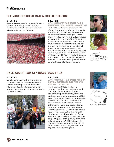# **PLAINCLOTHES OFFICERS AT A COLLEGE STADIUM**

# **SITUATION:**

A major bowl game at a prestigious university. Plainclothes officers are combing through the sold-out stadium, identifying potential threats. They need to communicate without spectators knowing who they are.



# **SOLUTION:**

#### **APX 3000 COVERT RADIO WITH BASIC MISSION CRITICAL WIRELESS COVERT KIT**

The APX 3000 Covert Radio provides your plainclothes officers with instant communications and lets them control their radio covertly. Its flexible design lets team members conceal the radio on a belt or in a backpack while GPS location tracks the officers' position throughout the stadium. When combined with the Mission Critical Wireless Covert Kit, the APX 3000 is a game-changer for undercover and surveillance operations. With a variety of covert earbuds that look like commercial accessories, your officers will appear to be talking on a phone or listening to music. A specialized 3.5mm adapter lets you connect any standard off-the-shelf, wired cellular headset to the Mission Critical Wireless push-to-talk (PTT) pod for virtually infinite choices in your appearance. The PTT pod easily fits in a pocket or purse, or can be clipped to your clothing to control the radio conveniently and covertly, wherever it is concealed.







# **UNDERCOVER TEAM AT A DOWNTOWN RALLY**

# **SITUATION:**

A massive protest in a metropolitan center. Undercover officers are dispersed in the crowd, keeping an eye on protesters and able to quickly alert uniformed police if they get out of hand. The officers must conceal their communications, monitor the participants and help keep the peace during the protest.



# **SOLUTION:**

#### **APX 3000 COVERT RADIO WITH MISSION CRITICAL WIRELESS COVERT KIT and Remote Control Unit**

The full-powered APX 3000 allows officers to communicate throughout the city, parking garages and hotels without degradation of communications. Its slim, compact design means it can easily be worn under clothing, in a bag or by another team member up to 30 feet away. To further minimize discovery, we downplayed lights and eliminated the audio output to make sure officers are never compromised. In the event the connection with the accessory is lost, the radio's communications won't jeopardize the mission. To further enhance their undercover operations, the APX Mission Critical Wireless Remote Control Unit mimics a typical car remote while allowing agents to control the radio discreetly. The front side features standard car-key remote buttons that can be configured for push-to-talk (PTT), changing radio channels and adjusting volume. The APX 3000 radio can be also programmed to enable voice announcements confirming channel changes to be heard through your surveillance earpiece or wireless earbud headphones.





Mission Critical Wireless earbuds